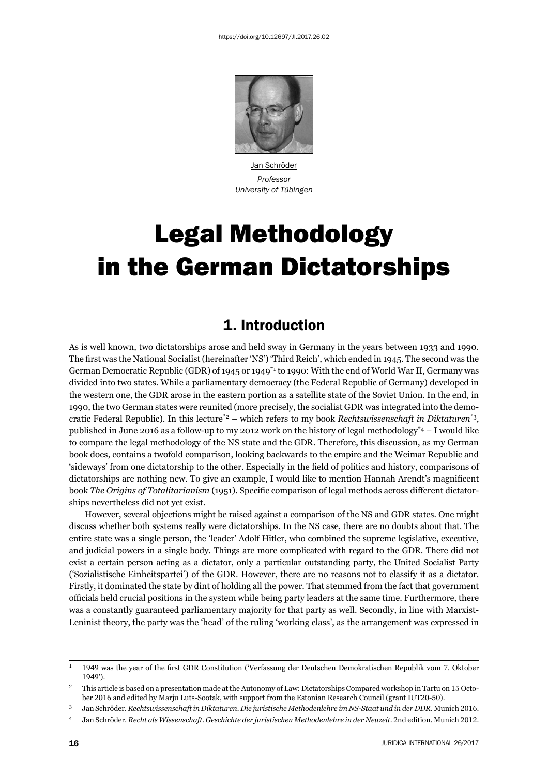

Jan Schröder *Professor University of Tübingen*

# Legal Methodology in the German Dictatorships

# 1. Introduction

As is well known, two dictatorships arose and held sway in Germany in the years between 1933 and 1990. The first was the National Socialist (hereinafter 'NS') 'Third Reich', which ended in 1945. The second was the German Democratic Republic (GDR) of 1945 or 1949\*1 to 1990: With the end of World War II, Germany was divided into two states. While a parliamentary democracy (the Federal Republic of Germany) developed in the western one, the GDR arose in the eastern portion as a satellite state of the Soviet Union. In the end, in 1990, the two German states were reunited (more precisely, the socialist GDR was integrated into the democratic Federal Republic). In this lecture\*2 – which refers to my book *Rechtswissenschaft in Diktaturen*\*3, published in June 2016 as a follow-up to my 2012 work on the history of legal methodology<sup>\*4</sup> – I would like to compare the legal methodology of the NS state and the GDR. Therefore, this discussion, as my German book does, contains a twofold comparison, looking backwards to the empire and the Weimar Republic and 'sideways' from one dictatorship to the other. Especially in the field of politics and history, comparisons of dictatorships are nothing new. To give an example, I would like to mention Hannah Arendt's magnificent book *The Origins of Totalitarianism* (1951). Specific comparison of legal methods across different dictatorships nevertheless did not yet exist.

However, several objections might be raised against a comparison of the NS and GDR states. One might discuss whether both systems really were dictatorships. In the NS case, there are no doubts about that. The entire state was a single person, the 'leader' Adolf Hitler, who combined the supreme legislative, executive, and judicial powers in a single body. Things are more complicated with regard to the GDR. There did not exist a certain person acting as a dictator, only a particular outstanding party, the United Socialist Party ('Sozialistische Einheitspartei') of the GDR. However, there are no reasons not to classify it as a dictator. Firstly, it dominated the state by dint of holding all the power. That stemmed from the fact that government officials held crucial positions in the system while being party leaders at the same time. Furthermore, there was a constantly guaranteed parliamentary majority for that party as well. Secondly, in line with Marxist-Leninist theory, the party was the 'head' of the ruling 'working class', as the arrangement was expressed in

<sup>&</sup>lt;sup>1</sup> 1949 was the year of the first GDR Constitution ('Verfassung der Deutschen Demokratischen Republik vom 7. Oktober 1949').

 $12$  This article is based on a presentation made at the Autonomy of Law: Dictatorships Compared workshop in Tartu on 15 October 2016 and edited by Marju Luts-Sootak, with support from the Estonian Research Council (grant IUT20-50).

Jan Schröder. *Rechtswissenschaft in Diktaturen. Die juristische Methodenlehre im NS-Staat und in der DDR*. Munich 2016.

<sup>&</sup>lt;sup>4</sup> Jan Schröder. *Recht als Wissenschaft. Geschichte der juristischen Methodenlehre in der Neuzeit*. 2nd edition. Munich 2012.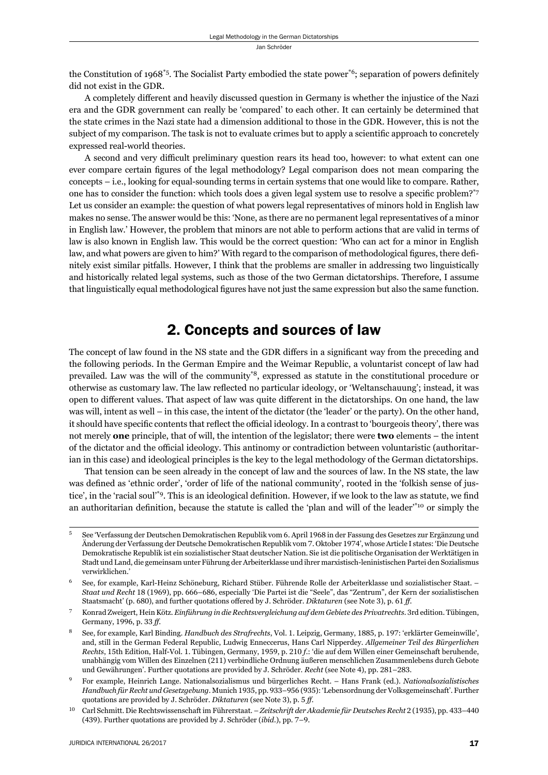the Constitution of 1968<sup>\*5</sup>. The Socialist Party embodied the state power<sup>\*6</sup>; separation of powers definitely did not exist in the GDR.

A completely different and heavily discussed question in Germany is whether the injustice of the Nazi era and the GDR government can really be 'compared' to each other. It can certainly be determined that the state crimes in the Nazi state had a dimension additional to those in the GDR. However, this is not the subject of my comparison. The task is not to evaluate crimes but to apply a scientific approach to concretely expressed real-world theories.

A second and very difficult preliminary question rears its head too, however: to what extent can one ever compare certain figures of the legal methodology? Legal comparison does not mean comparing the concepts – i.e., looking for equal-sounding terms in certain systems that one would like to compare. Rather, one has to consider the function: which tools does a given legal system use to resolve a specific problem?\*7 Let us consider an example: the question of what powers legal representatives of minors hold in English law makes no sense. The answer would be this: 'None, as there are no permanent legal representatives of a minor in English law.' However, the problem that minors are not able to perform actions that are valid in terms of law is also known in English law. This would be the correct question: 'Who can act for a minor in English law, and what powers are given to him?' With regard to the comparison of methodological figures, there definitely exist similar pitfalls. However, I think that the problems are smaller in addressing two linguistically and historically related legal systems, such as those of the two German dictatorships. Therefore, I assume that linguistically equal methodological figures have not just the same expression but also the same function.

## 2. Concepts and sources of law

The concept of law found in the NS state and the GDR differs in a significant way from the preceding and the following periods. In the German Empire and the Weimar Republic, a voluntarist concept of law had prevailed. Law was the will of the community\*8, expressed as statute in the constitutional procedure or otherwise as customary law. The law reflected no particular ideology, or 'Weltanschauung'; instead, it was open to different values. That aspect of law was quite different in the dictatorships. On one hand, the law was will, intent as well – in this case, the intent of the dictator (the 'leader' or the party). On the other hand, it should have specific contents that reflect the official ideology. In a contrast to 'bourgeois theory', there was not merely **one** principle, that of will, the intention of the legislator; there were **two** elements – the intent of the dictator and the official ideology. This antinomy or contradiction between voluntaristic (authoritarian in this case) and ideological principles is the key to the legal methodology of the German dictatorships.

That tension can be seen already in the concept of law and the sources of law. In the NS state, the law was defined as 'ethnic order', 'order of life of the national community', rooted in the 'folkish sense of justice', in the 'racial soul'<sup>\*9</sup>. This is an ideological definition. However, if we look to the law as statute, we find an authoritarian definition, because the statute is called the 'plan and will of the leader'\*10 or simply the

See 'Verfassung der Deutschen Demokratischen Republik vom 6. April 1968 in der Fassung des Gesetzes zur Ergänzung und Änderung der Verfassung der Deutsche Demokratischen Republik vom 7. Oktober 1974', whose Article I states: 'Die Deutsche Demokratische Republik ist ein sozialistischer Staat deutscher Nation. Sie ist die politische Organisation der Werktätigen in Stadt und Land, die gemeinsam unter Führung der Arbeiterklasse und ihrer marxistisch-leninistischen Partei den Sozialismus verwirklichen.'

See, for example, Karl-Heinz Schöneburg, Richard Stüber. Führende Rolle der Arbeiterklasse und sozialistischer Staat. – *Staat und Recht* 18 (1969), pp. 666–686, especially 'Die Partei ist die "Seele", das "Zentrum", der Kern der sozialistischen Staatsmacht' (p. 680), and further quotations offered by J. Schröder. *Diktaturen* (see Note 3), p. 61 ff.

<sup>ɸ</sup> Konrad Zweigert, Hein Kötz. *Einführung in die Rechtsvergleichung auf dem Gebiete des Privatrechts*. ɴrd edition. Tübingen, Germany, 1996, p. 33 ff.

<sup>&</sup>lt;sup>8</sup> See, for example, Karl Binding. *Handbuch des Strafrechts*, Vol. 1. Leipzig, Germany, 1885, p. 197: 'erklärter Gemeinwille', and, still in the German Federal Republic, Ludwig Enneccerus, Hans Carl Nipperdey. *Allgemeiner Teil des Bürgerlichen Rechts*, 15th Edition, Half-Vol. 1. Tübingen, Germany, 1959, p. 210 f.: 'die auf dem Willen einer Gemeinschaft beruhende, unabhängig vom Willen des Einzelnen (211) verbindliche Ordnung äußeren menschlichen Zusammenlebens durch Gebote und Gewährungen'. Further quotations are provided by J. Schröder. *Recht* (see Note 4), pp. 281-283.

<sup>ɺ</sup> For example, Heinrich Lange. Nationalsozialismus und bürgerliches Recht. – Hans Frank (ed.). *National sozialistisches Handbuch für Recht und Gesetzgebung*. Munich 1935, pp. 933–956 (935): 'Lebensordnung der Volksgemeinschaft'. Further quotations are provided by J. Schröder. *Diktaturen* (see Note 3), p. 5 *ff*.

<sup>10</sup> Carl Schmitt. Die Rechtswissenschaft im Führerstaat. – Zeitschrift der Akademie für Deutsches Recht 2 (1935), pp. 433–440 (439). Further quotations are provided by J. Schröder (*ibid.*), pp. 7-9.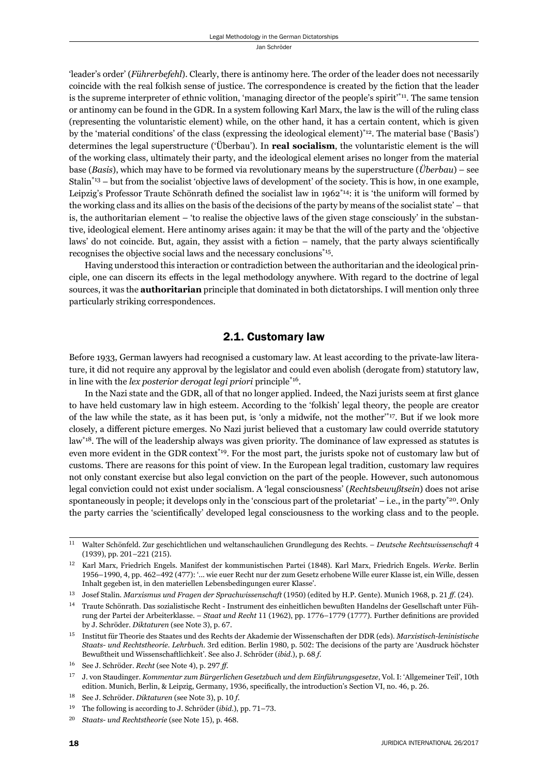'leader's order' (*Führerbefehl*). Clearly, there is antinomy here. The order of the leader does not necessarily coincide with the real folkish sense of justice. The correspondence is created by the fiction that the leader is the supreme interpreter of ethnic volition, 'managing director of the people's spirit'\*11. The same tension or antinomy can be found in the GDR. In a system following Karl Marx, the law is the will of the ruling class (representing the voluntaristic element) while, on the other hand, it has a certain content, which is given by the 'material conditions' of the class (expressing the ideological element)\*12. The material base ('Basis') determines the legal superstructure ('Überbau'). In **real socialism**, the voluntaristic element is the will of the working class, ultimately their party, and the ideological element arises no longer from the material base (*Basis*), which may have to be formed via revolutionary means by the superstructure (*Überbau*) – see Stalin\*13 – but from the socialist 'objective laws of development' of the society. This is how, in one example, Leipzig's Professor Traute Schönrath defined the socialist law in  $1962^{*14}$ : it is 'the uniform will formed by the working class and its allies on the basis of the decisions of the party by means of the socialist state' – that is, the authoritarian element – 'to realise the objective laws of the given stage consciously' in the substantive, ideological element. Here antinomy arises again: it may be that the will of the party and the 'objective laws' do not coincide. But, again, they assist with a fiction – namely, that the party always scientifically recognises the objective social laws and the necessary conclusions\*15.

Having understood this interaction or contradiction between the authoritarian and the ideological principle, one can discern its effects in the legal methodology anywhere. With regard to the doctrine of legal sources, it was the **authoritarian** principle that dominated in both dictatorships. I will mention only three particularly striking correspondences.

#### 2.1. Customary law

Before 1933, German lawyers had recognised a customary law. At least according to the private-law literature, it did not require any approval by the legislator and could even abolish (derogate from) statutory law, in line with the *lex posterior derogat legi priori* principle\*16.

In the Nazi state and the GDR, all of that no longer applied. Indeed, the Nazi jurists seem at first glance to have held customary law in high esteem. According to the 'folkish' legal theory, the people are creator of the law while the state, as it has been put, is 'only a midwife, not the mother'\*17. But if we look more closely, a different picture emerges. No Nazi jurist believed that a customary law could override statutory law\*18. The will of the leadership always was given priority. The dominance of law expressed as statutes is even more evident in the GDR context<sup>\*19</sup>. For the most part, the jurists spoke not of customary law but of customs. There are reasons for this point of view. In the European legal tradition, customary law requires not only constant exercise but also legal conviction on the part of the people. However, such autonomous legal conviction could not exist under socialism. A 'legal consciousness' (*Rechtsbewußtsein*) does not arise spontaneously in people; it develops only in the 'conscious part of the proletariat' – i.e., in the party<sup>\*20</sup>. Only the party carries the 'scientifically' developed legal consciousness to the working class and to the people.

<sup>&</sup>lt;sup>11</sup> Walter Schönfeld. Zur geschichtlichen und weltanschaulichen Grundlegung des Rechts. – *Deutsche Rechtswissenschaft* 4 (1939), pp. 201-221 (215).

<sup>&</sup>lt;sup>12</sup> Karl Marx, Friedrich Engels. Manifest der kommunistischen Partei (1848). Karl Marx, Friedrich Engels. Werke. Berlin 1956–1990, 4, pp. 462–492 (477): '... wie euer Recht nur der zum Gesetz erhobene Wille eurer Klasse ist, ein Wille, dessen Inhalt gegeben ist, in den materiellen Lebensbedingungen eurer Klasse'.

<sup>&</sup>lt;sup>13</sup> Josef Stalin. *Marxismus und Fragen der Sprachwissenschaft* (1950) (edited by H.P. Gente). Munich 1968, p. 21 ff. (24).

<sup>&</sup>lt;sup>14</sup> Traute Schönrath. Das sozialistische Recht - Instrument des einheitlichen bewußten Handelns der Gesellschaft unter Führung der Partei der Arbeiterklasse. - Staat und Recht 11 (1962), pp. 1776-1779 (1777). Further definitions are provided by J. Schröder. *Diktaturen* (see Note 3), p. 67.

ɲɶ Institut für Theorie des Staates und des Rechts der Akademie der Wissenschaften der DDR (eds). *Marxistisch-leninistische Staats- und Rechtstheorie. Lehrbuch*. 3rd edition. Berlin 1980, p. 502: The decisions of the party are 'Ausdruck höchster Bewußtheit und Wissenschaftlichkeit'. See also J. Schröder (*ibid.*), p. 68 f.

<sup>&</sup>lt;sup>16</sup> See J. Schröder. *Recht* (see Note 4), p. 297 ff.

<sup>&</sup>lt;sup>17</sup> J. von Staudinger. *Kommentar zum Bürgerlichen Gesetzbuch und dem Einführungsgesetze*, Vol. I: 'Allgemeiner Teil', 10th edition. Munich, Berlin, & Leipzig, Germany, 1936, specifically, the introduction's Section VI, no. 46, p. 26.

<sup>&</sup>lt;sup>18</sup> See J. Schröder. *Diktaturen* (see Note 3), p. 10 *f*.

<sup>&</sup>lt;sup>19</sup> The following is according to J. Schröder (*ibid.*), pp. 71-73.

<sup>&</sup>lt;sup>20</sup> Staats- und Rechtstheorie (see Note 15), p. 468.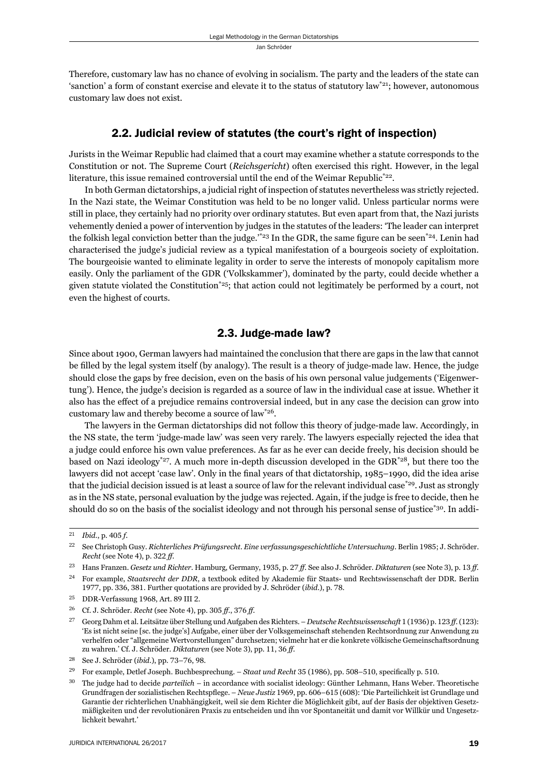Therefore, customary law has no chance of evolving in socialism. The party and the leaders of the state can 'sanction' a form of constant exercise and elevate it to the status of statutory law\*21; however, autonomous customary law does not exist.

#### 2.2. Judicial review of statutes (the court's right of inspection)

Jurists in the Weimar Republic had claimed that a court may examine whether a statute corresponds to the Constitution or not. The Supreme Court (*Reichsgericht*) often exercised this right. However, in the legal literature, this issue remained controversial until the end of the Weimar Republic<sup> $22$ </sup>.

In both German dictatorships, a judicial right of inspection of statutes nevertheless was strictly rejected. In the Nazi state, the Weimar Constitution was held to be no longer valid. Unless particular norms were still in place, they certainly had no priority over ordinary statutes. But even apart from that, the Nazi jurists vehemently denied a power of intervention by judges in the statutes of the leaders: 'The leader can interpret the folkish legal conviction better than the judge.<sup>\*23</sup> In the GDR, the same figure can be seen<sup>\*24</sup>. Lenin had characterised the judge's judicial review as a typical manifestation of a bourgeois society of exploitation. The bourgeoisie wanted to eliminate legality in order to serve the interests of monopoly capitalism more easily. Only the parliament of the GDR ('Volkskammer'), dominated by the party, could decide whether a given statute violated the Constitution<sup>\*25</sup>; that action could not legitimately be performed by a court, not even the highest of courts.

#### 2.3. Judge-made law?

Since about 1900, German lawyers had maintained the conclusion that there are gaps in the law that cannot be filled by the legal system itself (by analogy). The result is a theory of judge-made law. Hence, the judge should close the gaps by free decision, even on the basis of his own personal value judgements ('Eigenwertung'). Hence, the judge's decision is regarded as a source of law in the individual case at issue. Whether it also has the effect of a prejudice remains controversial indeed, but in any case the decision can grow into customary law and thereby become a source of law\*26.

The lawyers in the German dictatorships did not follow this theory of judge-made law. Accordingly, in the NS state, the term 'judge-made law' was seen very rarely. The lawyers especially rejected the idea that a judge could enforce his own value preferences. As far as he ever can decide freely, his decision should be based on Nazi ideology<sup>\*27</sup>. A much more in-depth discussion developed in the GDR<sup>\*28</sup>, but there too the lawyers did not accept 'case law'. Only in the final years of that dictatorship, 1985–1990, did the idea arise that the judicial decision issued is at least a source of law for the relevant individual case\*29. Just as strongly as in the NS state, personal evaluation by the judge was rejected. Again, if the judge is free to decide, then he should do so on the basis of the socialist ideology and not through his personal sense of justice\*30. In addi-

ɳɲ *Ibid.*, p. ɵɱɶ *f*.

<sup>&</sup>lt;sup>22</sup> See Christoph Gusy. *Richterliches Prüfungsrecht. Eine verfassungsgeschichtliche Untersuchung. Berlin 1985; J. Schröder. Recht* (see Note 4), p. 322 ff.

<sup>&</sup>lt;sup>23</sup> Hans Franzen. *Gesetz und Richter*. Hamburg, Germany, 1935, p. 27 ff. See also J. Schröder. *Diktaturen* (see Note 3), p. 13 ff.

<sup>&</sup>lt;sup>24</sup> For example, *Staatsrecht der DDR*, a textbook edited by Akademie für Staats- und Rechtswissenschaft der DDR. Berlin 1977, pp. 336, 381. Further quotations are provided by J. Schröder (*ibid.*), p. 78.

<sup>&</sup>lt;sup>25</sup> DDR-Verfassung 1968, Art. 89 III 2.

<sup>&</sup>lt;sup>26</sup> Cf. J. Schröder. *Recht* (see Note 4), pp. 305 ff., 376 ff.

<sup>&</sup>lt;sup>27</sup> Georg Dahm et al. Leitsätze über Stellung und Aufgaben des Richters. – *Deutsche Rechtswissenschaft* 1 (1936) p. 123 *ff.* (123): 'Es ist nicht seine [sc. the judge's] Aufgabe, einer über der Volksgemeinschaft stehenden Rechtsordnung zur Anwendung zu verhelfen oder "allgemeine Wertvorstellungen" durchsetzen; vielmehr hat er die konkrete völkische Gemeinschaftsordnung zu wahren.' Cf. J. Schröder. *Diktaturen* (see Note 3), pp. 11, 36 ff.

<sup>&</sup>lt;sup>28</sup> See J. Schröder (*ibid.*), pp. 73-76, 98.

<sup>&</sup>lt;sup>29</sup> For example, Detlef Joseph. Buchbesprechung. – *Staat und Recht* 35 (1986), pp. 508–510, specifically p. 510.

ɴɱ The judge had to decide *parteilich* – in accordance with socialist ideology: Günther Lehmann, Hans Weber. Theoretische Grundfragen der sozialistischen Rechtspflege. – *Neue Justiz* 1969, pp. 606–615 (608): 'Die Parteilichkeit ist Grundlage und Garantie der richterlichen Unabhängigkeit, weil sie dem Richter die Möglichkeit gibt, auf der Basis der objektiven Gesetzmäßigkeiten und der revolutionären Praxis zu entscheiden und ihn vor Spontaneität und damit vor Willkür und Ungesetzlichkeit bewahrt.'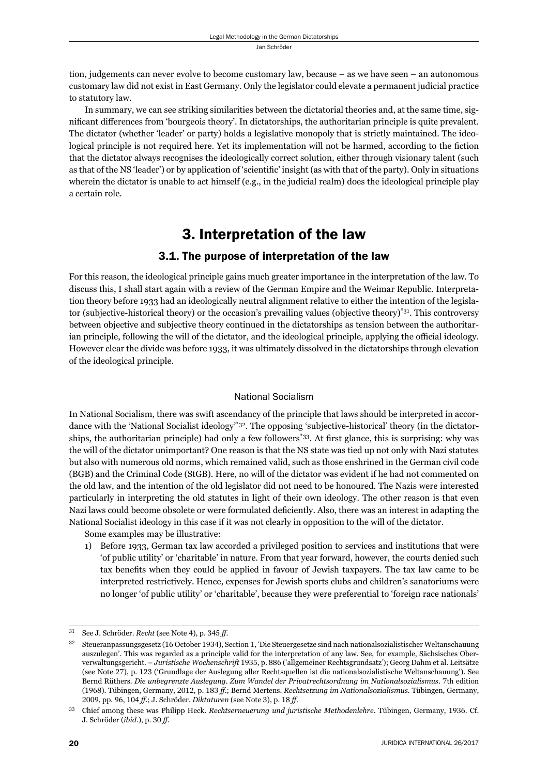tion, judgements can never evolve to become customary law, because – as we have seen – an autonomous customary law did not exist in East Germany. Only the legislator could elevate a permanent judicial practice to statutory law.

In summary, we can see striking similarities between the dictatorial theories and, at the same time, significant differences from 'bourgeois theory'. In dictatorships, the authoritarian principle is quite prevalent. The dictator (whether 'leader' or party) holds a legislative monopoly that is strictly maintained. The ideological principle is not required here. Yet its implementation will not be harmed, according to the fiction that the dictator always recognises the ideologically correct solution, either through visionary talent (such as that of the NS 'leader') or by application of 'scientific' insight (as with that of the party). Only in situations wherein the dictator is unable to act himself (e.g., in the judicial realm) does the ideological principle play a certain role.

# 3. Interpretation of the law

#### 3.1. The purpose of interpretation of the law

For this reason, the ideological principle gains much greater importance in the interpretation of the law. To discuss this, I shall start again with a review of the German Empire and the Weimar Republic. Interpretation theory before 1933 had an ideologically neutral alignment relative to either the intention of the legislator (subjective-historical theory) or the occasion's prevailing values (objective theory)\*31. This controversy between objective and subjective theory continued in the dictatorships as tension between the authoritarian principle, following the will of the dictator, and the ideological principle, applying the official ideology. However clear the divide was before 1933, it was ultimately dissolved in the dictatorships through elevation of the ideological principle.

#### National Socialism

In National Socialism, there was swift ascendancy of the principle that laws should be interpreted in accordance with the 'National Socialist ideology'\*32. The opposing 'subjective-historical' theory (in the dictatorships, the authoritarian principle) had only a few followers<sup>\*33</sup>. At first glance, this is surprising: why was the will of the dictator unimportant? One reason is that the NS state was tied up not only with Nazi statutes but also with numerous old norms, which remained valid, such as those enshrined in the German civil code (BGB) and the Criminal Code (StGB). Here, no will of the dictator was evident if he had not commented on the old law, and the intention of the old legislator did not need to be honoured. The Nazis were interested particularly in interpreting the old statutes in light of their own ideology. The other reason is that even Nazi laws could become obsolete or were formulated deficiently. Also, there was an interest in adapting the National Socialist ideology in this case if it was not clearly in opposition to the will of the dictator.

Some examples may be illustrative:

1) Before 1933, German tax law accorded a privileged position to services and institutions that were 'of public utility' or 'charitable' in nature. From that year forward, however, the courts denied such tax benefits when they could be applied in favour of Jewish taxpayers. The tax law came to be interpreted restrictively. Hence, expenses for Jewish sports clubs and children's sanatoriums were no longer 'of public utility' or 'charitable', because they were preferential to 'foreign race nationals'

<sup>&</sup>lt;sup>31</sup> See J. Schröder. *Recht* (see Note 4), p. 345 *ff*.

Steueranpassungsgesetz (16 October 1934), Section 1, 'Die Steuergesetze sind nach nationalsozialistischer Weltanschauung auszulegen'. This was regarded as a principle valid for the interpretation of any law. See, for example, Sächsisches Oberverwaltungsgericht. – *Juristische Wochenschrift* 1935, p. 886 ('allgemeiner Rechtsgrundsatz'); Georg Dahm et al. Leitsätze (see Note 27), p. 123 ('Grundlage der Auslegung aller Rechtsquellen ist die nationalsozialistische Weltanschauung'). See Bernd Rüthers. *Die unbegrenzte Auslegung. Zum Wandel der Privatrechtsordnung im Nationalsozialismus*. 7th edition (ɲɺɷɹ). Tübingen, Germany, ɳɱɲɳ, p. ɲɹɴ *ff*.; Bernd Mertens. *Rechtsetzung im Nationalsozialismus*. Tübingen, Germany, 2009, pp. 96, 104 ff.; J. Schröder. *Diktaturen* (see Note 3), p. 18 ff.

Chief among these was Philipp Heck. *Rechtserneuerung und juristische Methodenlehre*. Tübingen, Germany, 1936. Cf. J. Schröder (*ibid*.), p. ɴɱ *ff*.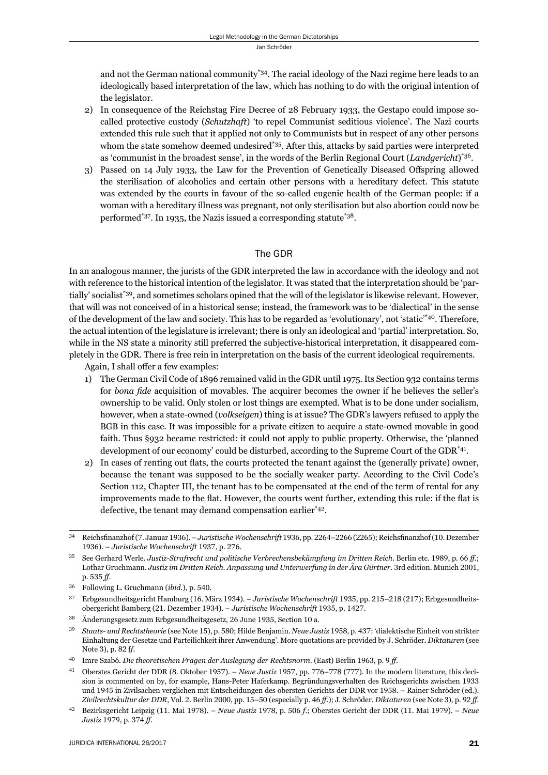and not the German national community<sup>\*34</sup>. The racial ideology of the Nazi regime here leads to an ideologically based interpretation of the law, which has nothing to do with the original intention of the legislator.

- 2) In consequence of the Reichstag Fire Decree of 28 February 1933, the Gestapo could impose socalled protective custody (*Schutzhaft*) 'to repel Communist seditious violence'. The Nazi courts extended this rule such that it applied not only to Communists but in respect of any other persons whom the state somehow deemed undesired<sup>\*35</sup>. After this, attacks by said parties were interpreted as 'communist in the broadest sense', in the words of the Berlin Regional Court (*Landgericht*)\*36.
- 3) Passed on 14 July 1933, the Law for the Prevention of Genetically Diseased Offspring allowed the sterilisation of alcoholics and certain other persons with a hereditary defect. This statute was extended by the courts in favour of the so-called eugenic health of the German people: if a woman with a hereditary illness was pregnant, not only sterilisation but also abortion could now be performed\*37. In 1935, the Nazis issued a corresponding statute\*38.

#### The GDR

In an analogous manner, the jurists of the GDR interpreted the law in accordance with the ideology and not with reference to the historical intention of the legislator. It was stated that the interpretation should be 'partially' socialist\*39, and sometimes scholars opined that the will of the legislator is likewise relevant. However, that will was not conceived of in a historical sense; instead, the framework was to be 'dialectical' in the sense of the development of the law and society. This has to be regarded as 'evolutionary', not 'static'\*40. Therefore, the actual intention of the legislature is irrelevant; there is only an ideological and 'partial' interpretation. So, while in the NS state a minority still preferred the subjective-historical interpretation, it disappeared completely in the GDR. There is free rein in interpretation on the basis of the current ideological requirements.

Again, I shall offer a few examples:

- 1) The German Civil Code of 1896 remained valid in the GDR until 1975. Its Section 932 contains terms for *bona fide* acquisition of movables. The acquirer becomes the owner if he believes the seller's ownership to be valid. Only stolen or lost things are exempted. What is to be done under socialism, however, when a state-owned (*volkseigen*) thing is at issue? The GDR's lawyers refused to apply the BGB in this case. It was impossible for a private citizen to acquire a state-owned movable in good faith. Thus §932 became restricted: it could not apply to public property. Otherwise, the 'planned development of our economy' could be disturbed, according to the Supreme Court of the GDR\*41.
- 2) In cases of renting out flats, the courts protected the tenant against the (generally private) owner, because the tenant was supposed to be the socially weaker party. According to the Civil Code's Section 112, Chapter III, the tenant has to be compensated at the end of the term of rental for any improvements made to the flat. However, the courts went further, extending this rule: if the flat is defective, the tenant may demand compensation earlier\*42.

<sup>&</sup>lt;sup>34</sup> Reichsfinanzhof (7. Januar 1936). – *Juristische Wochenschrift* 1936, pp. 2264–2266 (2265); Reichsfinanzhof (10. Dezember 1936). – Juristische Wochenschrift 1937, p. 276.

<sup>&</sup>lt;sup>35</sup> See Gerhard Werle. *Justiz-Strafrecht und politische Verbrechensbekämpfung im Dritten Reich*. Berlin etc. 1989, p. 66 ff.; Lothar Gruchmann. *Justiz im Dritten Reich. Anpassung und Unterwerfung in der Ära Gürtner*. 3rd edition. Munich 2001, p. ɶɴɶ *ff*.

<sup>&</sup>lt;sup>36</sup> Following L. Gruchmann (*ibid.*), p. 540.

<sup>&</sup>lt;sup>37</sup> Erbgesundheitsgericht Hamburg (16. März 1934). – *Juristische Wochenschrift* 1935, pp. 215–218 (217); Erbgesundheitsobergericht Bamberg (21. Dezember 1934). – *Juristische Wochenschrift* 1935, p. 1427.

<sup>&</sup>lt;sup>38</sup> Änderungsgesetz zum Erbgesundheitsgesetz, 26 June 1935, Section 10 a.

Staats- und Rechtstheorie (see Note 15), p. 580; Hilde Benjamin. *Neue Justiz* 1958, p. 437; 'dialektische Einheit von strikter Einhaltung der Gesetze und Parteilichkeit ihrer Anwendung'. More quotations are provided by J. Schröder. *Diktaturen* (see Note 3), p. 82 ff.

<sup>&</sup>lt;sup>40</sup> Imre Szabó. *Die theoretischen Fragen der Auslegung der Rechtsnorm*. (East) Berlin 1963, p. 9 ff.

<sup>&</sup>lt;sup>41</sup> Oberstes Gericht der DDR (8. Oktober 1957). – *Neue Justiz* 1957, pp. 776–778 (777). In the modern literature, this decision is commented on by, for example, Hans-Peter Haferkamp. Begründungsverhalten des Reichsgerichts zwischen 1933 und 1945 in Zivilsachen verglichen mit Entscheidungen des obersten Gerichts der DDR vor 1958. – Rainer Schröder (ed.). Zivilrechtskultur der DDR, Vol. 2. Berlin 2000, pp. 15-50 (especially p. 46 ff.); J. Schröder. *Diktaturen* (see Note 3), p. 92 ff.

<sup>&</sup>lt;sup>42</sup> Bezirksgericht Leipzig (11. Mai 1978). – *Neue Justiz* 1978, p. 506 f.; Oberstes Gericht der DDR (11. Mai 1979). – *Neue Justiz* 1979, p. 374 ff.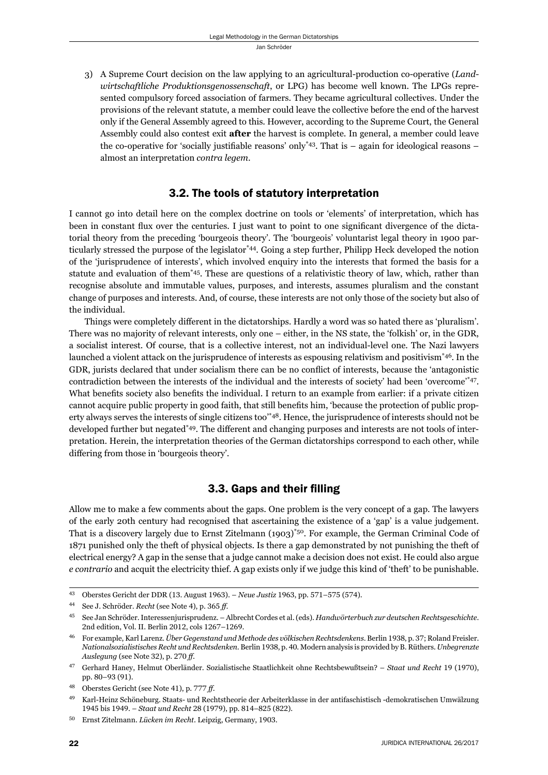3) A Supreme Court decision on the law applying to an agricultural-production co-operative (*Landwirtschaftliche Produktionsgenossenschaft*, or LPG) has become well known. The LPGs represented compulsory forced association of farmers. They became agricultural collectives. Under the provisions of the relevant statute, a member could leave the collective before the end of the harvest only if the General Assembly agreed to this. However, according to the Supreme Court, the General Assembly could also contest exit **after** the harvest is complete. In general, a member could leave the co-operative for 'socially justifiable reasons' only\*43. That is  $-$  again for ideological reasons  $$ almost an interpretation *contra legem*.

#### 3.2. The tools of statutory interpretation

I cannot go into detail here on the complex doctrine on tools or 'elements' of interpretation, which has been in constant flux over the centuries. I just want to point to one significant divergence of the dictatorial theory from the preceding 'bourgeois theory'. The 'bourgeois' voluntarist legal theory in 1900 particularly stressed the purpose of the legislator\*44. Going a step further, Philipp Heck developed the notion of the 'jurisprudence of interests', which involved enquiry into the interests that formed the basis for a statute and evaluation of them\*45. These are questions of a relativistic theory of law, which, rather than recognise absolute and immutable values, purposes, and interests, assumes pluralism and the constant change of purposes and interests. And, of course, these interests are not only those of the society but also of the individual.

Things were completely different in the dictatorships. Hardly a word was so hated there as 'pluralism'. There was no majority of relevant interests, only one – either, in the NS state, the 'folkish' or, in the GDR, a socialist interest. Of course, that is a collective interest, not an individual-level one. The Nazi lawyers launched a violent attack on the jurisprudence of interests as espousing relativism and positivism<sup>\*46</sup>. In the GDR, jurists declared that under socialism there can be no conflict of interests, because the 'antagonistic contradiction between the interests of the individual and the interests of society' had been 'overcome'\*47. What benefits society also benefits the individual. I return to an example from earlier: if a private citizen cannot acquire public property in good faith, that still benefits him, 'because the protection of public property always serves the interests of single citizens too'\*48. Hence, the jurisprudence of interests should not be developed further but negated\*49. The different and changing purposes and interests are not tools of interpretation. Herein, the interpretation theories of the German dictatorships correspond to each other, while differing from those in 'bourgeois theory'.

#### 3.3. Gaps and their filling

Allow me to make a few comments about the gaps. One problem is the very concept of a gap. The lawyers of the early 20th century had recognised that ascertaining the existence of a 'gap' is a value judgement. That is a discovery largely due to Ernst Zitelmann (1903)\*50. For example, the German Criminal Code of 1871 punished only the theft of physical objects. Is there a gap demonstrated by not punishing the theft of electrical energy? A gap in the sense that a judge cannot make a decision does not exist. He could also argue *e contrario* and acquit the electricity thief. A gap exists only if we judge this kind of 'theft' to be punishable.

<sup>&</sup>lt;sup>43</sup> Oberstes Gericht der DDR (13. August 1963). – *Neue Justiz* 1963, pp. 571–575 (574).

<sup>&</sup>lt;sup>44</sup> See J. Schröder. *Recht* (see Note 4), p. 365 ff.

ɵɶ See Jan Schröder. Interessenjurisprudenz. – Albrecht Cordes et al. (eds). *Handwörterbuch zur deutschen Rechtsgeschichte*. 2nd edition, Vol. II. Berlin 2012, cols 1267-1269.

<sup>&</sup>lt;sup>46</sup> For example, Karl Larenz. Über Gegenstand und Methode des völkischen Rechtsdenkens. Berlin 1938, p. 37; Roland Freisler. *Nationalsozialistisches Recht und Rechtsdenken*. Berlin ɲɺɴɹ, p. ɵɱ. Modern analysis is provided by B. Rüthers. *Unbegrenzte Auslegung* (see Note 32), p. 270 *ff*.

Gerhard Haney, Helmut Oberländer. Sozialistische Staatlichkeit ohne Rechtsbewußtsein? – Staat und Recht 19 (1970), pp. 80-93 (91).

Oberstes Gericht (see Note 41), p. 777 ff.

ɵɺ Karl-Heinz Schöneburg. Staats- und Rechtstheorie der Arbeiterklasse in der antifaschistisch -demokratischen Umwälzung 1945 bis 1949. – *Staat und Recht* 28 (1979), pp. 814–825 (822).

<sup>50</sup> Ernst Zitelmann. *Lücken im Recht*. Leipzig, Germany, 1903.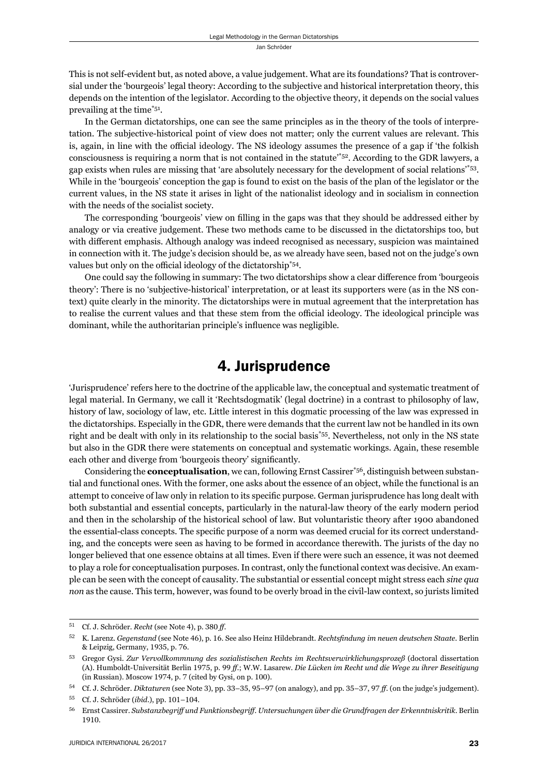This is not self-evident but, as noted above, a value judgement. What are its foundations? That is controversial under the 'bourgeois' legal theory: According to the subjective and historical interpretation theory, this depends on the intention of the legislator. According to the objective theory, it depends on the social values prevailing at the time\*51.

In the German dictatorships, one can see the same principles as in the theory of the tools of interpretation. The subjective-historical point of view does not matter; only the current values are relevant. This is, again, in line with the official ideology. The NS ideology assumes the presence of a gap if 'the folkish consciousness is requiring a norm that is not contained in the statute'\*52. According to the GDR lawyers, a gap exists when rules are missing that 'are absolutely necessary for the development of social relations'\*53. While in the 'bourgeois' conception the gap is found to exist on the basis of the plan of the legislator or the current values, in the NS state it arises in light of the nationalist ideology and in socialism in connection with the needs of the socialist society.

The corresponding 'bourgeois' view on filling in the gaps was that they should be addressed either by analogy or via creative judgement. These two methods came to be discussed in the dictatorships too, but with different emphasis. Although analogy was indeed recognised as necessary, suspicion was maintained in connection with it. The judge's decision should be, as we already have seen, based not on the judge's own values but only on the official ideology of the dictatorship<sup>\*54</sup>.

One could say the following in summary: The two dictatorships show a clear difference from 'bourgeois' theory': There is no 'subjective-historical' interpretation, or at least its supporters were (as in the NS context) quite clearly in the minority. The dictatorships were in mutual agreement that the interpretation has to realise the current values and that these stem from the official ideology. The ideological principle was dominant, while the authoritarian principle's influence was negligible.

## 4. Jurisprudence

'Jurisprudence' refers here to the doctrine of the applicable law, the conceptual and systematic treatment of legal material. In Germany, we call it 'Rechtsdogmatik' (legal doctrine) in a contrast to philosophy of law, history of law, sociology of law, etc. Little interest in this dogmatic processing of the law was expressed in the dictatorships. Especially in the GDR, there were demands that the current law not be handled in its own right and be dealt with only in its relationship to the social basis\*55. Nevertheless, not only in the NS state but also in the GDR there were statements on conceptual and systematic workings. Again, these resemble each other and diverge from 'bourgeois theory' significantly.

Considering the **conceptualisation**, we can, following Ernst Cassirer\*56, distinguish between substantial and functional ones. With the former, one asks about the essence of an object, while the functional is an attempt to conceive of law only in relation to its specific purpose. German jurisprudence has long dealt with both substantial and essential concepts, particularly in the natural-law theory of the early modern period and then in the scholarship of the historical school of law. But voluntaristic theory after 1900 abandoned the essential-class concepts. The specific purpose of a norm was deemed crucial for its correct understanding, and the concepts were seen as having to be formed in accordance therewith. The jurists of the day no longer believed that one essence obtains at all times. Even if there were such an essence, it was not deemed to play a role for conceptualisation purposes. In contrast, only the functional context was decisive. An example can be seen with the concept of causality. The substantial or essential concept might stress each *sine qua non* as the cause. This term, however, was found to be overly broad in the civil-law context, so jurists limited

<sup>51</sup> Cf. J. Schröder. *Recht* (see Note 4), p. 380 ff.

<sup>&</sup>lt;sup>52</sup> K. Larenz. *Gegenstand* (see Note 46), p. 16. See also Heinz Hildebrandt. *Rechtsfindung im neuen deutschen Staate*. Berlin & Leipzig, Germany, 1935, p. 76.

ɶɴ Gregor Gysi. *Zur Vervollkommnung des sozialistischen Rechts im Rechtsverwirklichungsprozeß* (doctoral dissertation (A). Humboldt-Universität Berlin 1975, p. 99 ff.; W.W. Lasarew. *Die Lücken im Recht und die Wege zu ihrer Beseitigung* (in Russian). Moscow 1974, p.  $7$  (cited by Gysi, on p. 100).

<sup>&</sup>lt;sup>54</sup> Cf. J. Schröder. *Diktaturen* (see Note 3), pp. 33–35, 95–97 (on analogy), and pp. 35–37, 97 ff. (on the judge's judgement).

<sup>55</sup> Cf. J. Schröder (*ibid.*), pp. 101-104.

ɶɷ Ernst Cassirer. *Substanzbegriff und Funktionsbegriff . Untersuchungen über die Grundfragen der Erkenntniskritik*. Berlin 1910.